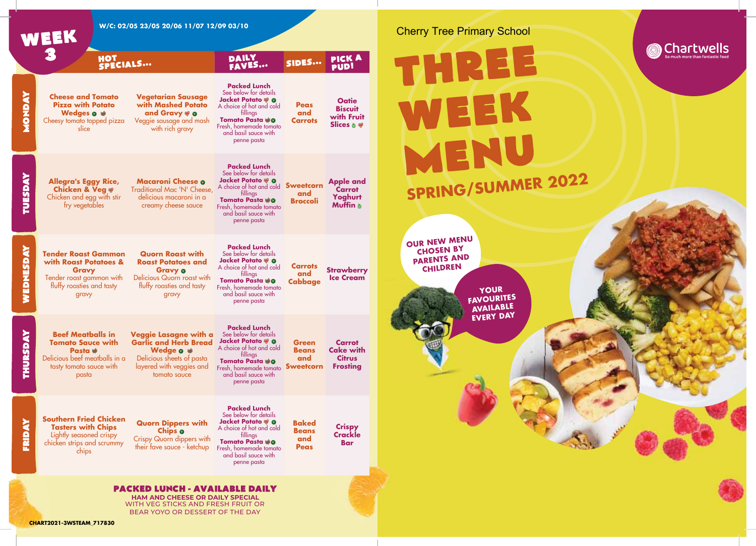

## **YOUR FAVOURITES AVAILABLE EVERY DAY OUR NEW MENU**  WEEK MENU **SPRING/SUMMER 2022**

Cherry Tree Primary School

Chartwells